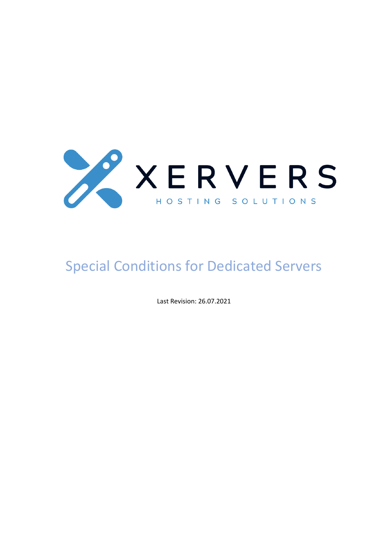

# Special Conditions for Dedicated Servers

Last Revision: 26.07.2021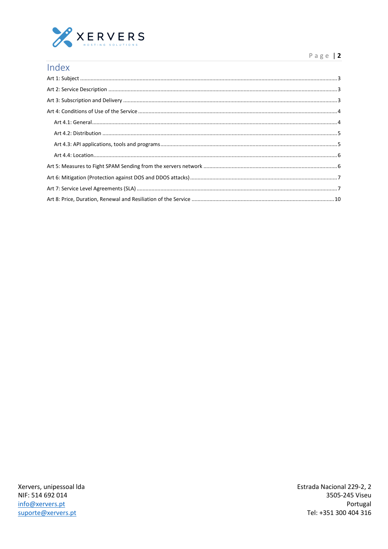

#### Page |  $2$

| Index |  |
|-------|--|
|       |  |
|       |  |
|       |  |
|       |  |
|       |  |
|       |  |
|       |  |
|       |  |
|       |  |
|       |  |
|       |  |
|       |  |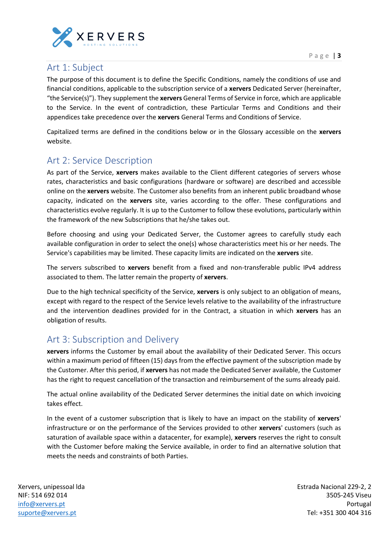

## <span id="page-2-0"></span>Art 1: Subject

The purpose of this document is to define the Specific Conditions, namely the conditions of use and financial conditions, applicable to the subscription service of a **xervers** Dedicated Server (hereinafter, "the Service(s)"). They supplement the **xervers** General Terms of Service in force, which are applicable to the Service. In the event of contradiction, these Particular Terms and Conditions and their appendices take precedence over the **xervers** General Terms and Conditions of Service.

Capitalized terms are defined in the conditions below or in the Glossary accessible on the **xervers** website.

## <span id="page-2-1"></span>Art 2: Service Description

As part of the Service, **xervers** makes available to the Client different categories of servers whose rates, characteristics and basic configurations (hardware or software) are described and accessible online on the **xervers** website. The Customer also benefits from an inherent public broadband whose capacity, indicated on the **xervers** site, varies according to the offer. These configurations and characteristics evolve regularly. It is up to the Customer to follow these evolutions, particularly within the framework of the new Subscriptions that he/she takes out.

Before choosing and using your Dedicated Server, the Customer agrees to carefully study each available configuration in order to select the one(s) whose characteristics meet his or her needs. The Service's capabilities may be limited. These capacity limits are indicated on the **xervers** site.

The servers subscribed to **xervers** benefit from a fixed and non-transferable public IPv4 address associated to them. The latter remain the property of **xervers**.

Due to the high technical specificity of the Service, **xervers** is only subject to an obligation of means, except with regard to the respect of the Service levels relative to the availability of the infrastructure and the intervention deadlines provided for in the Contract, a situation in which **xervers** has an obligation of results.

## <span id="page-2-2"></span>Art 3: Subscription and Delivery

**xervers** informs the Customer by email about the availability of their Dedicated Server. This occurs within a maximum period of fifteen (15) days from the effective payment of the subscription made by the Customer. After this period, if **xervers** has not made the Dedicated Server available, the Customer has the right to request cancellation of the transaction and reimbursement of the sums already paid.

The actual online availability of the Dedicated Server determines the initial date on which invoicing takes effect.

In the event of a customer subscription that is likely to have an impact on the stability of **xervers**' infrastructure or on the performance of the Services provided to other **xervers**' customers (such as saturation of available space within a datacenter, for example), **xervers** reserves the right to consult with the Customer before making the Service available, in order to find an alternative solution that meets the needs and constraints of both Parties.

Xervers, unipessoal lda NIF: 514 692 014 [info@xervers.pt](mailto:info@xervers.pt) [suporte@xervers.pt](mailto:suporte@xervers.pt)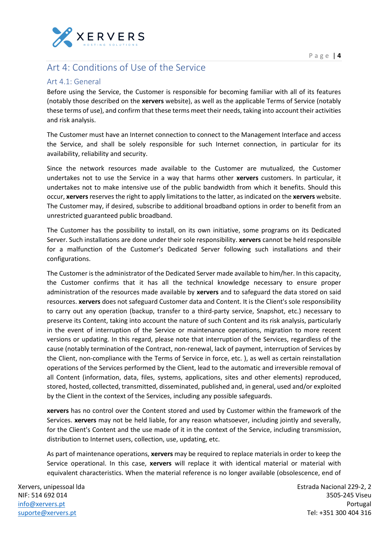

## <span id="page-3-0"></span>Art 4: Conditions of Use of the Service

### <span id="page-3-1"></span>Art 4.1: General

Before using the Service, the Customer is responsible for becoming familiar with all of its features (notably those described on the **xervers** website), as well as the applicable Terms of Service (notably these terms of use), and confirm that these terms meet their needs, taking into account their activities and risk analysis.

The Customer must have an Internet connection to connect to the Management Interface and access the Service, and shall be solely responsible for such Internet connection, in particular for its availability, reliability and security.

Since the network resources made available to the Customer are mutualized, the Customer undertakes not to use the Service in a way that harms other **xervers** customers. In particular, it undertakes not to make intensive use of the public bandwidth from which it benefits. Should this occur, **xervers** reserves the right to apply limitations to the latter, as indicated on the **xervers** website. The Customer may, if desired, subscribe to additional broadband options in order to benefit from an unrestricted guaranteed public broadband.

The Customer has the possibility to install, on its own initiative, some programs on its Dedicated Server. Such installations are done under their sole responsibility. **xervers** cannot be held responsible for a malfunction of the Customer's Dedicated Server following such installations and their configurations.

The Customer is the administrator of the Dedicated Server made available to him/her. In this capacity, the Customer confirms that it has all the technical knowledge necessary to ensure proper administration of the resources made available by **xervers** and to safeguard the data stored on said resources. **xervers** does not safeguard Customer data and Content. It is the Client's sole responsibility to carry out any operation (backup, transfer to a third-party service, Snapshot, etc.) necessary to preserve its Content, taking into account the nature of such Content and its risk analysis, particularly in the event of interruption of the Service or maintenance operations, migration to more recent versions or updating. In this regard, please note that interruption of the Services, regardless of the cause (notably termination of the Contract, non-renewal, lack of payment, interruption of Services by the Client, non-compliance with the Terms of Service in force, etc. ), as well as certain reinstallation operations of the Services performed by the Client, lead to the automatic and irreversible removal of all Content (information, data, files, systems, applications, sites and other elements) reproduced, stored, hosted, collected, transmitted, disseminated, published and, in general, used and/or exploited by the Client in the context of the Services, including any possible safeguards.

**xervers** has no control over the Content stored and used by Customer within the framework of the Services. **xervers** may not be held liable, for any reason whatsoever, including jointly and severally, for the Client's Content and the use made of it in the context of the Service, including transmission, distribution to Internet users, collection, use, updating, etc.

As part of maintenance operations, **xervers** may be required to replace materials in order to keep the Service operational. In this case, **xervers** will replace it with identical material or material with equivalent characteristics. When the material reference is no longer available (obsolescence, end of

Xervers, unipessoal lda NIF: 514 692 014 [info@xervers.pt](mailto:info@xervers.pt) [suporte@xervers.pt](mailto:suporte@xervers.pt)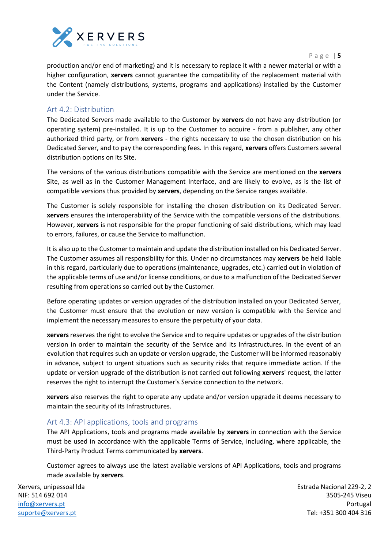

P a g e | **5**

production and/or end of marketing) and it is necessary to replace it with a newer material or with a higher configuration, **xervers** cannot guarantee the compatibility of the replacement material with the Content (namely distributions, systems, programs and applications) installed by the Customer under the Service.

#### <span id="page-4-0"></span>Art 4.2: Distribution

The Dedicated Servers made available to the Customer by **xervers** do not have any distribution (or operating system) pre-installed. It is up to the Customer to acquire - from a publisher, any other authorized third party, or from **xervers** - the rights necessary to use the chosen distribution on his Dedicated Server, and to pay the corresponding fees. In this regard, **xervers** offers Customers several distribution options on its Site.

The versions of the various distributions compatible with the Service are mentioned on the **xervers** Site, as well as in the Customer Management Interface, and are likely to evolve, as is the list of compatible versions thus provided by **xervers**, depending on the Service ranges available.

The Customer is solely responsible for installing the chosen distribution on its Dedicated Server. **xervers** ensures the interoperability of the Service with the compatible versions of the distributions. However, **xervers** is not responsible for the proper functioning of said distributions, which may lead to errors, failures, or cause the Service to malfunction.

It is also up to the Customer to maintain and update the distribution installed on his Dedicated Server. The Customer assumes all responsibility for this. Under no circumstances may **xervers** be held liable in this regard, particularly due to operations (maintenance, upgrades, etc.) carried out in violation of the applicable terms of use and/or license conditions, or due to a malfunction of the Dedicated Server resulting from operations so carried out by the Customer.

Before operating updates or version upgrades of the distribution installed on your Dedicated Server, the Customer must ensure that the evolution or new version is compatible with the Service and implement the necessary measures to ensure the perpetuity of your data.

**xervers** reserves the right to evolve the Service and to require updates or upgrades of the distribution version in order to maintain the security of the Service and its Infrastructures. In the event of an evolution that requires such an update or version upgrade, the Customer will be informed reasonably in advance, subject to urgent situations such as security risks that require immediate action. If the update or version upgrade of the distribution is not carried out following **xervers**' request, the latter reserves the right to interrupt the Customer's Service connection to the network.

**xervers** also reserves the right to operate any update and/or version upgrade it deems necessary to maintain the security of its Infrastructures.

#### <span id="page-4-1"></span>Art 4.3: API applications, tools and programs

The API Applications, tools and programs made available by **xervers** in connection with the Service must be used in accordance with the applicable Terms of Service, including, where applicable, the Third-Party Product Terms communicated by **xervers**.

Customer agrees to always use the latest available versions of API Applications, tools and programs made available by **xervers**.

Xervers, unipessoal lda NIF: 514 692 014 [info@xervers.pt](mailto:info@xervers.pt) [suporte@xervers.pt](mailto:suporte@xervers.pt)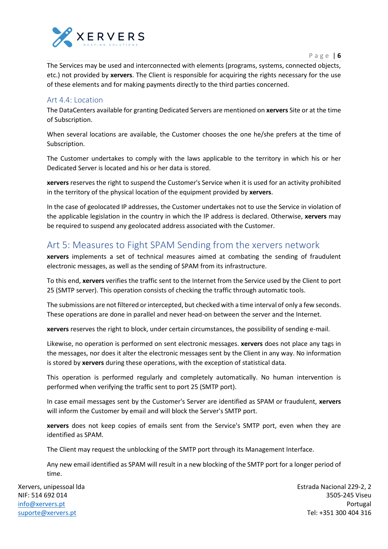

P a g e | **6**

The Services may be used and interconnected with elements (programs, systems, connected objects, etc.) not provided by **xervers**. The Client is responsible for acquiring the rights necessary for the use of these elements and for making payments directly to the third parties concerned.

#### <span id="page-5-0"></span>Art 4.4: Location

The DataCenters available for granting Dedicated Servers are mentioned on **xervers** Site or at the time of Subscription.

When several locations are available, the Customer chooses the one he/she prefers at the time of Subscription.

The Customer undertakes to comply with the laws applicable to the territory in which his or her Dedicated Server is located and his or her data is stored.

**xervers** reserves the right to suspend the Customer's Service when it is used for an activity prohibited in the territory of the physical location of the equipment provided by **xervers**.

In the case of geolocated IP addresses, the Customer undertakes not to use the Service in violation of the applicable legislation in the country in which the IP address is declared. Otherwise, **xervers** may be required to suspend any geolocated address associated with the Customer.

## <span id="page-5-1"></span>Art 5: Measures to Fight SPAM Sending from the xervers network

**xervers** implements a set of technical measures aimed at combating the sending of fraudulent electronic messages, as well as the sending of SPAM from its infrastructure.

To this end, **xervers** verifies the traffic sent to the Internet from the Service used by the Client to port 25 (SMTP server). This operation consists of checking the traffic through automatic tools.

The submissions are not filtered or intercepted, but checked with a time interval of only a few seconds. These operations are done in parallel and never head-on between the server and the Internet.

**xervers** reserves the right to block, under certain circumstances, the possibility of sending e-mail.

Likewise, no operation is performed on sent electronic messages. **xervers** does not place any tags in the messages, nor does it alter the electronic messages sent by the Client in any way. No information is stored by **xervers** during these operations, with the exception of statistical data.

This operation is performed regularly and completely automatically. No human intervention is performed when verifying the traffic sent to port 25 (SMTP port).

In case email messages sent by the Customer's Server are identified as SPAM or fraudulent, **xervers** will inform the Customer by email and will block the Server's SMTP port.

**xervers** does not keep copies of emails sent from the Service's SMTP port, even when they are identified as SPAM.

The Client may request the unblocking of the SMTP port through its Management Interface.

Any new email identified as SPAM will result in a new blocking of the SMTP port for a longer period of time.

Xervers, unipessoal lda NIF: 514 692 014 [info@xervers.pt](mailto:info@xervers.pt) [suporte@xervers.pt](mailto:suporte@xervers.pt)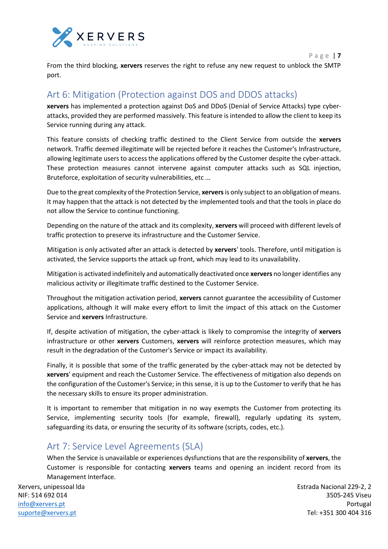

From the third blocking, **xervers** reserves the right to refuse any new request to unblock the SMTP port.

## <span id="page-6-0"></span>Art 6: Mitigation (Protection against DOS and DDOS attacks)

**xervers** has implemented a protection against DoS and DDoS (Denial of Service Attacks) type cyberattacks, provided they are performed massively. This feature is intended to allow the client to keep its Service running during any attack.

This feature consists of checking traffic destined to the Client Service from outside the **xervers** network. Traffic deemed illegitimate will be rejected before it reaches the Customer's Infrastructure, allowing legitimate users to access the applications offered by the Customer despite the cyber-attack. These protection measures cannot intervene against computer attacks such as SQL injection, Bruteforce, exploitation of security vulnerabilities, etc ...

Due to the great complexity of the Protection Service, **xervers**is only subject to an obligation of means. It may happen that the attack is not detected by the implemented tools and that the tools in place do not allow the Service to continue functioning.

Depending on the nature of the attack and its complexity, **xervers** will proceed with different levels of traffic protection to preserve its infrastructure and the Customer Service.

Mitigation is only activated after an attack is detected by **xervers**' tools. Therefore, until mitigation is activated, the Service supports the attack up front, which may lead to its unavailability.

Mitigation is activated indefinitely and automatically deactivated once **xervers** no longer identifies any malicious activity or illegitimate traffic destined to the Customer Service.

Throughout the mitigation activation period, **xervers** cannot guarantee the accessibility of Customer applications, although it will make every effort to limit the impact of this attack on the Customer Service and **xervers** Infrastructure.

If, despite activation of mitigation, the cyber-attack is likely to compromise the integrity of **xervers** infrastructure or other **xervers** Customers, **xervers** will reinforce protection measures, which may result in the degradation of the Customer's Service or impact its availability.

Finally, it is possible that some of the traffic generated by the cyber-attack may not be detected by **xervers**' equipment and reach the Customer Service. The effectiveness of mitigation also depends on the configuration of the Customer's Service; in this sense, it is up to the Customer to verify that he has the necessary skills to ensure its proper administration.

It is important to remember that mitigation in no way exempts the Customer from protecting its Service, implementing security tools (for example, firewall), regularly updating its system, safeguarding its data, or ensuring the security of its software (scripts, codes, etc.).

## <span id="page-6-1"></span>Art 7: Service Level Agreements (SLA)

When the Service is unavailable or experiences dysfunctions that are the responsibility of **xervers**, the Customer is responsible for contacting **xervers** teams and opening an incident record from its Management Interface.

Xervers, unipessoal lda NIF: 514 692 014 [info@xervers.pt](mailto:info@xervers.pt) [suporte@xervers.pt](mailto:suporte@xervers.pt)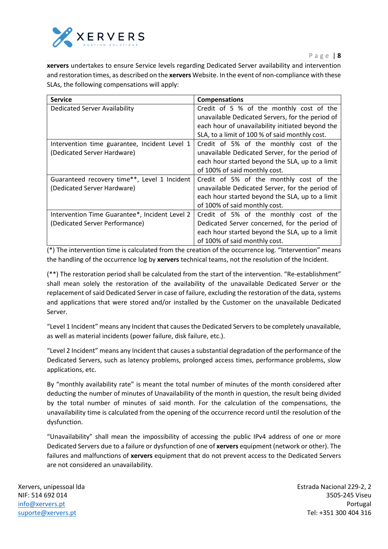

**xervers** undertakes to ensure Service levels regarding Dedicated Server availability and intervention and restoration times, as described on the **xervers** Website. In the event of non-compliance with these SLAs, the following compensations will apply:

| <b>Service</b>                                 | <b>Compensations</b>                             |
|------------------------------------------------|--------------------------------------------------|
| <b>Dedicated Server Availability</b>           | Credit of 5 % of the monthly cost of the         |
|                                                | unavailable Dedicated Servers, for the period of |
|                                                | each hour of unavailability initiated beyond the |
|                                                | SLA, to a limit of 100 % of said monthly cost.   |
| Intervention time guarantee, Incident Level 1  | Credit of 5% of the monthly cost of the          |
| (Dedicated Server Hardware)                    | unavailable Dedicated Server, for the period of  |
|                                                | each hour started beyond the SLA, up to a limit  |
|                                                | of 100% of said monthly cost.                    |
| Guaranteed recovery time**, Level 1 Incident   | Credit of 5% of the monthly cost of the          |
| (Dedicated Server Hardware)                    | unavailable Dedicated Server, for the period of  |
|                                                | each hour started beyond the SLA, up to a limit  |
|                                                | of 100% of said monthly cost.                    |
| Intervention Time Guarantee*, Incident Level 2 | Credit of 5% of the monthly cost of the          |
| (Dedicated Server Performance)                 | Dedicated Server concerned, for the period of    |
|                                                | each hour started beyond the SLA, up to a limit  |
|                                                | of 100% of said monthly cost.                    |

(\*) The intervention time is calculated from the creation of the occurrence log. "Intervention" means the handling of the occurrence log by **xervers** technical teams, not the resolution of the Incident.

(\*\*) The restoration period shall be calculated from the start of the intervention. "Re-establishment" shall mean solely the restoration of the availability of the unavailable Dedicated Server or the replacement of said Dedicated Server in case of failure, excluding the restoration of the data, systems and applications that were stored and/or installed by the Customer on the unavailable Dedicated Server.

"Level 1 Incident" means any Incident that causes the Dedicated Servers to be completely unavailable, as well as material incidents (power failure, disk failure, etc.).

"Level 2 Incident" means any Incident that causes a substantial degradation of the performance of the Dedicated Servers, such as latency problems, prolonged access times, performance problems, slow applications, etc.

By "monthly availability rate" is meant the total number of minutes of the month considered after deducting the number of minutes of Unavailability of the month in question, the result being divided by the total number of minutes of said month. For the calculation of the compensations, the unavailability time is calculated from the opening of the occurrence record until the resolution of the dysfunction.

"Unavailability" shall mean the impossibility of accessing the public IPv4 address of one or more Dedicated Servers due to a failure or dysfunction of one of **xervers** equipment (network or other). The failures and malfunctions of **xervers** equipment that do not prevent access to the Dedicated Servers are not considered an unavailability.

Xervers, unipessoal lda NIF: 514 692 014 [info@xervers.pt](mailto:info@xervers.pt) [suporte@xervers.pt](mailto:suporte@xervers.pt)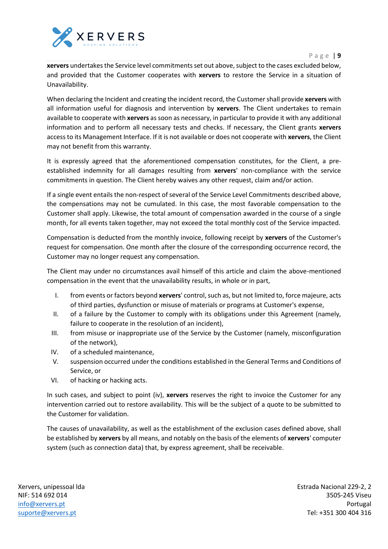

#### P a g e | **9**

**xervers** undertakes the Service level commitments set out above, subject to the cases excluded below, and provided that the Customer cooperates with **xervers** to restore the Service in a situation of Unavailability.

When declaring the Incident and creating the incident record, the Customer shall provide **xervers** with all information useful for diagnosis and intervention by **xervers**. The Client undertakes to remain available to cooperate with **xervers** as soon as necessary, in particular to provide it with any additional information and to perform all necessary tests and checks. If necessary, the Client grants **xervers** access to its Management Interface. If it is not available or does not cooperate with **xervers**, the Client may not benefit from this warranty.

It is expressly agreed that the aforementioned compensation constitutes, for the Client, a preestablished indemnity for all damages resulting from **xervers**' non-compliance with the service commitments in question. The Client hereby waives any other request, claim and/or action.

If a single event entails the non-respect of several of the Service Level Commitments described above, the compensations may not be cumulated. In this case, the most favorable compensation to the Customer shall apply. Likewise, the total amount of compensation awarded in the course of a single month, for all events taken together, may not exceed the total monthly cost of the Service impacted.

Compensation is deducted from the monthly invoice, following receipt by **xervers** of the Customer's request for compensation. One month after the closure of the corresponding occurrence record, the Customer may no longer request any compensation.

The Client may under no circumstances avail himself of this article and claim the above-mentioned compensation in the event that the unavailability results, in whole or in part,

- I. from events or factors beyond **xervers**' control, such as, but not limited to, force majeure, acts of third parties, dysfunction or misuse of materials or programs at Customer's expense,
- II. of a failure by the Customer to comply with its obligations under this Agreement (namely, failure to cooperate in the resolution of an incident),
- III. from misuse or inappropriate use of the Service by the Customer (namely, misconfiguration of the network),
- IV. of a scheduled maintenance,
- V. suspension occurred under the conditions established in the General Terms and Conditions of Service, or
- VI. of hacking or hacking acts.

In such cases, and subject to point (iv), **xervers** reserves the right to invoice the Customer for any intervention carried out to restore availability. This will be the subject of a quote to be submitted to the Customer for validation.

The causes of unavailability, as well as the establishment of the exclusion cases defined above, shall be established by **xervers** by all means, and notably on the basis of the elements of **xervers**' computer system (such as connection data) that, by express agreement, shall be receivable.

Xervers, unipessoal lda NIF: 514 692 014 [info@xervers.pt](mailto:info@xervers.pt) [suporte@xervers.pt](mailto:suporte@xervers.pt)